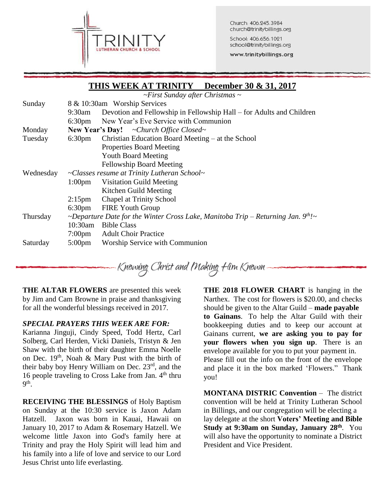

Church: 406.245.3984 church@trinitybillings.org

School: 406.656.1021 school@trinitybillings.org

www.trinitybillings.org

## **THIS WEEK AT TRINITY December 30 & 31, 2017**

*~First Sunday after Christmas ~*

| Sunday    | 8 & 10:30am Worship Services                                                          |                                                                      |  |  |
|-----------|---------------------------------------------------------------------------------------|----------------------------------------------------------------------|--|--|
|           | $9:30$ am                                                                             | Devotion and Fellowship in Fellowship Hall – for Adults and Children |  |  |
|           |                                                                                       | 6:30pm New Year's Eve Service with Communion                         |  |  |
| Monday    | <b>New Year's Day!</b> ~Church Office Closed~                                         |                                                                      |  |  |
| Tuesday   | $6:30 \text{pm}$                                                                      | Christian Education Board Meeting – at the School                    |  |  |
|           |                                                                                       | <b>Properties Board Meeting</b>                                      |  |  |
|           |                                                                                       | <b>Youth Board Meeting</b>                                           |  |  |
|           |                                                                                       | <b>Fellowship Board Meeting</b>                                      |  |  |
| Wednesday | ~Classes resume at Trinity Lutheran School~                                           |                                                                      |  |  |
|           | 1:00 <sub>pm</sub>                                                                    | <b>Visitation Guild Meeting</b>                                      |  |  |
|           |                                                                                       | Kitchen Guild Meeting                                                |  |  |
|           | $2:15$ pm                                                                             | <b>Chapel at Trinity School</b>                                      |  |  |
|           | $6:30 \text{pm}$                                                                      | <b>FIRE Youth Group</b>                                              |  |  |
| Thursday  | ~Departure Date for the Winter Cross Lake, Manitoba Trip – Returning Jan. $9^{th}$ !~ |                                                                      |  |  |
|           | 10:30am                                                                               | <b>Bible Class</b>                                                   |  |  |
|           | 7:00 <sub>pm</sub>                                                                    | <b>Adult Choir Practice</b>                                          |  |  |
| Saturday  | $5:00 \text{pm}$                                                                      | Worship Service with Communion                                       |  |  |

Knowing Christ and Making Him Known

**THE ALTAR FLOWERS** are presented this week by Jim and Cam Browne in praise and thanksgiving for all the wonderful blessings received in 2017.

### *SPECIAL PRAYERS THIS WEEK ARE FOR:*

Karianna Jinguji, Cindy Speed, Todd Hertz, Carl Solberg, Carl Herden, Vicki Daniels, Tristyn & Jen Shaw with the birth of their daughter Emma Noelle on Dec.  $19<sup>th</sup>$ , Noah & Mary Pust with the birth of their baby boy Henry William on Dec. 23<sup>rd</sup>, and the 16 people traveling to Cross Lake from Jan.  $4<sup>th</sup>$  thru  $9<sup>th</sup>$ .

**RECEIVING THE BLESSINGS** of Holy Baptism on Sunday at the 10:30 service is Jaxon Adam Hatzell. Jaxon was born in Kauai, Hawaii on January 10, 2017 to Adam & Rosemary Hatzell. We welcome little Jaxon into God's family here at Trinity and pray the Holy Spirit will lead him and his family into a life of love and service to our Lord Jesus Christ unto life everlasting.

**THE 2018 FLOWER CHART** is hanging in the Narthex. The cost for flowers is \$20.00, and checks should be given to the Altar Guild – **made payable to Gainans**. To help the Altar Guild with their bookkeeping duties and to keep our account at Gainans current, **we are asking you to pay for your flowers when you sign up**. There is an envelope available for you to put your payment in. Please fill out the info on the front of the envelope and place it in the box marked 'Flowers." Thank you!

**MONTANA DISTRIC Convention** – The district convention will be held at Trinity Lutheran School in Billings, and our congregation will be electing a lay delegate at the short **Voters' Meeting and Bible Study at 9:30am on Sunday, January 28th** . You will also have the opportunity to nominate a District President and Vice President.